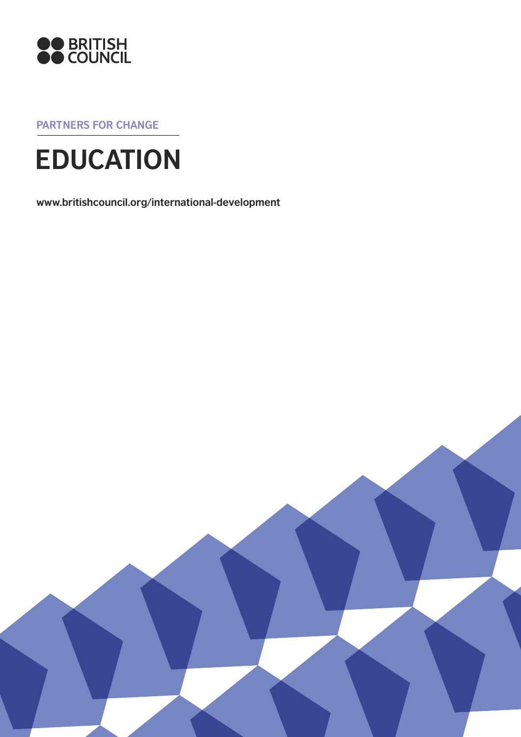

**Partners for change**

# **EDUCATION**

**www.britishcouncil.org/international-development**

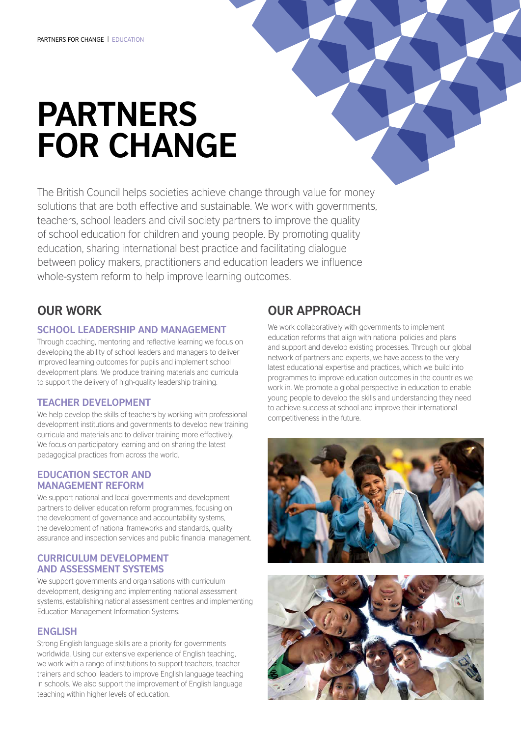# **Partners for change**

The British Council helps societies achieve change through value for money solutions that are both effective and sustainable. We work with governments, teachers, school leaders and civil society partners to improve the quality of school education for children and young people. By promoting quality education, sharing international best practice and facilitating dialogue between policy makers, practitioners and education leaders we influence whole-system reform to help improve learning outcomes.

# **Our work**

#### **School leadership and management**

Through coaching, mentoring and reflective learning we focus on developing the ability of school leaders and managers to deliver improved learning outcomes for pupils and implement school development plans. We produce training materials and curricula to support the delivery of high-quality leadership training.

#### **Teacher development**

We help develop the skills of teachers by working with professional development institutions and governments to develop new training curricula and materials and to deliver training more effectively. We focus on participatory learning and on sharing the latest pedagogical practices from across the world.

#### **Education sector and management reform**

We support national and local governments and development partners to deliver education reform programmes, focusing on the development of governance and accountability systems, the development of national frameworks and standards, quality assurance and inspection services and public financial management.

#### **Curriculum development and assessment systems**

We support governments and organisations with curriculum development, designing and implementing national assessment systems, establishing national assessment centres and implementing Education Management Information Systems.

### **English**

Strong English language skills are a priority for governments worldwide. Using our extensive experience of English teaching, we work with a range of institutions to support teachers, teacher trainers and school leaders to improve English language teaching in schools. We also support the improvement of English language teaching within higher levels of education.

# **Our approach**

We work collaboratively with governments to implement education reforms that align with national policies and plans and support and develop existing processes. Through our global network of partners and experts, we have access to the very latest educational expertise and practices, which we build into programmes to improve education outcomes in the countries we work in. We promote a global perspective in education to enable young people to develop the skills and understanding they need to achieve success at school and improve their international competitiveness in the future.



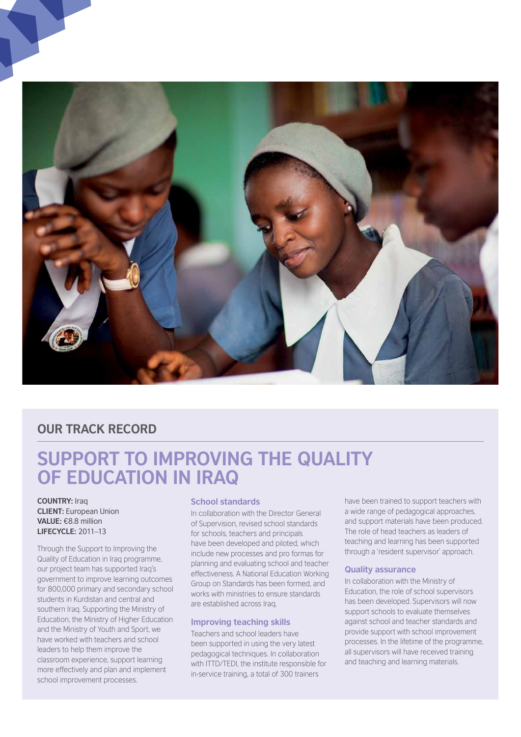

## **OUR TRACK RECORD**

# **Support to improving the quality of education in Iraq**

**COUNTRY: Iraq Client:** European Union **Value:** €8.8 million **Lifecycle:** 2011–13

Through the Support to Improving the Quality of Education in Iraq programme, our project team has supported Iraq's government to improve learning outcomes for 800,000 primary and secondary school students in Kurdistan and central and southern Iraq. Supporting the Ministry of Education, the Ministry of Higher Education and the Ministry of Youth and Sport, we have worked with teachers and school leaders to help them improve the classroom experience, support learning more effectively and plan and implement school improvement processes.

#### **School standards**

In collaboration with the Director General of Supervision, revised school standards for schools, teachers and principals have been developed and piloted, which include new processes and pro formas for planning and evaluating school and teacher effectiveness. A National Education Working Group on Standards has been formed, and works with ministries to ensure standards are established across Iraq.

#### **Improving teaching skills**

Teachers and school leaders have been supported in using the very latest pedagogical techniques. In collaboration with ITTD/TEDI, the institute responsible for in-service training, a total of 300 trainers

have been trained to support teachers with a wide range of pedagogical approaches, and support materials have been produced. The role of head teachers as leaders of teaching and learning has been supported through a 'resident supervisor' approach.

#### **Quality assurance**

In collaboration with the Ministry of Education, the role of school supervisors has been developed. Supervisors will now support schools to evaluate themselves against school and teacher standards and provide support with school improvement processes. In the lifetime of the programme, all supervisors will have received training and teaching and learning materials.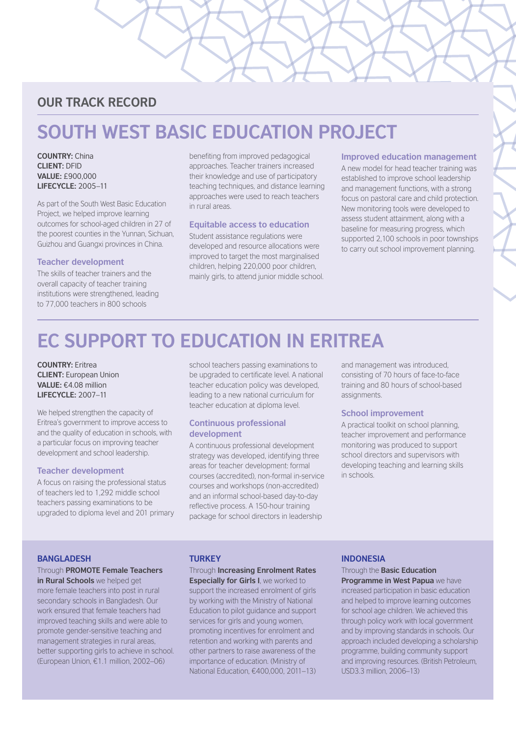## **OUR TRACK RECORD**

# **South West Basic Education Project**

**Country:** China **Client:** DFID **Value:** £900,000 **Lifecycle:** 2005–11

As part of the South West Basic Education Project, we helped improve learning outcomes for school-aged children in 27 of the poorest counties in the Yunnan, Sichuan, Guizhou and Guangxi provinces in China.

#### **Teacher development**

The skills of teacher trainers and the overall capacity of teacher training institutions were strengthened, leading to 77,000 teachers in 800 schools

benefiting from improved pedagogical approaches. Teacher trainers increased their knowledge and use of participatory teaching techniques, and distance learning approaches were used to reach teachers in rural areas.

#### **Equitable access to education**

Student assistance regulations were developed and resource allocations were improved to target the most marginalised children, helping 220,000 poor children, mainly girls, to attend junior middle school.

#### **Improved education management**

A new model for head teacher training was established to improve school leadership and management functions, with a strong focus on pastoral care and child protection. New monitoring tools were developed to assess student attainment, along with a baseline for measuring progress, which supported 2,100 schools in poor townships to carry out school improvement planning.

# **EC Support to Education in Eritrea**

**Country:** Eritrea **client:** European Union **Value:** €4.08 million **Lifecycle:** 2007–11

We helped strengthen the capacity of Eritrea's government to improve access to and the quality of education in schools, with a particular focus on improving teacher development and school leadership.

#### **Teacher development**

A focus on raising the professional status of teachers led to 1,292 middle school teachers passing examinations to be upgraded to diploma level and 201 primary school teachers passing examinations to be upgraded to certificate level. A national teacher education policy was developed, leading to a new national curriculum for teacher education at diploma level.

#### **Continuous professional development**

A continuous professional development strategy was developed, identifying three areas for teacher development: formal courses (accredited), non-formal in-service courses and workshops (non-accredited) and an informal school-based day-to-day reflective process. A 150-hour training package for school directors in leadership

and management was introduced, consisting of 70 hours of face-to-face training and 80 hours of school-based assignments.

#### **School improvement**

A practical toolkit on school planning, teacher improvement and performance monitoring was produced to support school directors and supervisors with developing teaching and learning skills in schools.

#### **Bangladesh**

## Through **PROMOTE Female Teachers**

**in Rural Schools** we helped get more female teachers into post in rural secondary schools in Bangladesh. Our work ensured that female teachers had improved teaching skills and were able to promote gender-sensitive teaching and management strategies in rural areas, better supporting girls to achieve in school. (European Union, €1.1 million, 2002–06)

#### **TURKEY**

#### Through **Increasing Enrolment Rates**

**Especially for Girls I**, we worked to support the increased enrolment of girls by working with the Ministry of National Education to pilot guidance and support services for girls and young women, promoting incentives for enrolment and retention and working with parents and other partners to raise awareness of the importance of education. (Ministry of National Education, €400,000, 2011–13)

#### **INDONESIA**

## Through the **Basic Education**

**Programme in West Papua** we have increased participation in basic education and helped to improve learning outcomes for school age children. We achieved this through policy work with local government and by improving standards in schools. Our approach included developing a scholarship programme, building community support and improving resources. (British Petroleum, USD3.3 million, 2006–13)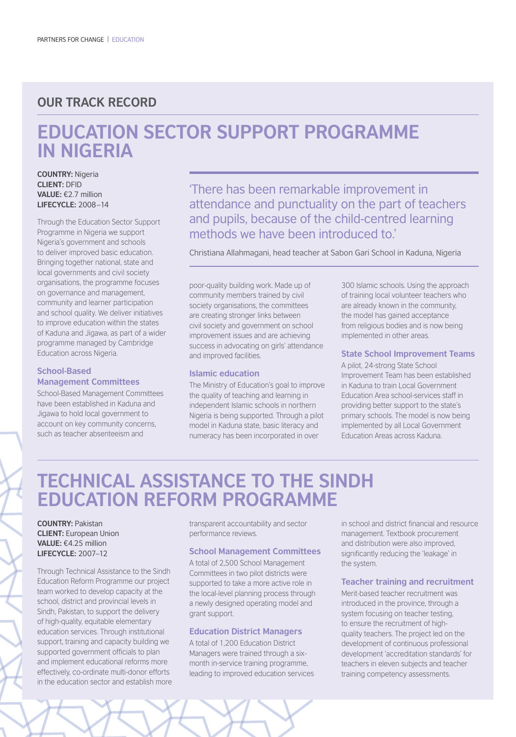## **OUR TRACK RECORD**

# **Education Sector Support Programme in Nigeria**

**Country:** Nigeria **Client:** DFID **Value:** €2.7 million **Lifecycle:** 2008–14

Through the Education Sector Support Programme in Nigeria we support Nigeria's government and schools to deliver improved basic education. Bringing together national, state and local governments and civil society organisations, the programme focuses on governance and management, community and learner participation and school quality. We deliver initiatives to improve education within the states of Kaduna and Jigawa, as part of a wider programme managed by Cambridge Education across Nigeria.

#### **School-Based Management Committees**

School-Based Management Committees have been established in Kaduna and Jigawa to hold local government to account on key community concerns, such as teacher absenteeism and

'There has been remarkable improvement in attendance and punctuality on the part of teachers and pupils, because of the child-centred learning methods we have been introduced to'

Christiana Allahmagani, head teacher at Sabon Gari School in Kaduna, Nigeria

poor-quality building work. Made up of community members trained by civil society organisations, the committees are creating stronger links between civil society and government on school improvement issues and are achieving success in advocating on girls' attendance and improved facilities.

#### **Islamic education**

The Ministry of Education's goal to improve the quality of teaching and learning in independent Islamic schools in northern Nigeria is being supported. Through a pilot model in Kaduna state, basic literacy and numeracy has been incorporated in over

300 Islamic schools. Using the approach of training local volunteer teachers who are already known in the community, the model has gained acceptance from religious bodies and is now being implemented in other areas.

#### **State School Improvement Teams**

A pilot, 24-strong State School Improvement Team has been established in Kaduna to train Local Government Education Area school-services staff in providing better support to the state's primary schools. The model is now being implemented by all Local Government Education Areas across Kaduna.

# **Technical Assistance to the Sindh Education Reform Programme**

#### **Country:** Pakistan **Client:** European Union **Value:** €4.25 million **Lifecycle:** 2007–12

Through Technical Assistance to the Sindh Education Reform Programme our project team worked to develop capacity at the school, district and provincial levels in Sindh, Pakistan, to support the delivery of high-quality, equitable elementary education services. Through institutional support, training and capacity building we supported government officials to plan and implement educational reforms more effectively, co-ordinate multi-donor efforts in the education sector and establish more transparent accountability and sector performance reviews.

#### **School Management Committees**

A total of 2,500 School Management Committees in two pilot districts were supported to take a more active role in the local-level planning process through a newly designed operating model and grant support.

#### **Education District Managers**

A total of 1,200 Education District Managers were trained through a sixmonth in-service training programme, leading to improved education services

in school and district financial and resource management. Textbook procurement and distribution were also improved, significantly reducing the 'leakage' in the system.

#### **Teacher training and recruitment**

Merit-based teacher recruitment was introduced in the province, through a system focusing on teacher testing, to ensure the recruitment of highquality teachers. The project led on the development of continuous professional development 'accreditation standards' for teachers in eleven subjects and teacher training competency assessments.